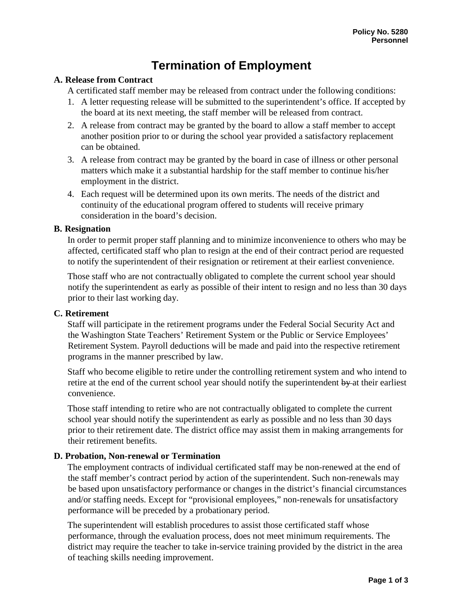# **Termination of Employment**

## **A. Release from Contract**

A certificated staff member may be released from contract under the following conditions:

- 1. A letter requesting release will be submitted to the superintendent's office. If accepted by the board at its next meeting, the staff member will be released from contract.
- 2. A release from contract may be granted by the board to allow a staff member to accept another position prior to or during the school year provided a satisfactory replacement can be obtained.
- 3. A release from contract may be granted by the board in case of illness or other personal matters which make it a substantial hardship for the staff member to continue his/her employment in the district.
- 4. Each request will be determined upon its own merits. The needs of the district and continuity of the educational program offered to students will receive primary consideration in the board's decision.

## **B. Resignation**

In order to permit proper staff planning and to minimize inconvenience to others who may be affected, certificated staff who plan to resign at the end of their contract period are requested to notify the superintendent of their resignation or retirement at their earliest convenience.

Those staff who are not contractually obligated to complete the current school year should notify the superintendent as early as possible of their intent to resign and no less than 30 days prior to their last working day.

#### **C. Retirement**

Staff will participate in the retirement programs under the Federal Social Security Act and the Washington State Teachers' Retirement System or the Public or Service Employees' Retirement System. Payroll deductions will be made and paid into the respective retirement programs in the manner prescribed by law.

Staff who become eligible to retire under the controlling retirement system and who intend to retire at the end of the current school year should notify the superintendent by at their earliest convenience.

Those staff intending to retire who are not contractually obligated to complete the current school year should notify the superintendent as early as possible and no less than 30 days prior to their retirement date. The district office may assist them in making arrangements for their retirement benefits.

## **D. Probation, Non-renewal or Termination**

The employment contracts of individual certificated staff may be non-renewed at the end of the staff member's contract period by action of the superintendent. Such non-renewals may be based upon unsatisfactory performance or changes in the district's financial circumstances and/or staffing needs. Except for "provisional employees," non-renewals for unsatisfactory performance will be preceded by a probationary period.

The superintendent will establish procedures to assist those certificated staff whose performance, through the evaluation process, does not meet minimum requirements. The district may require the teacher to take in-service training provided by the district in the area of teaching skills needing improvement.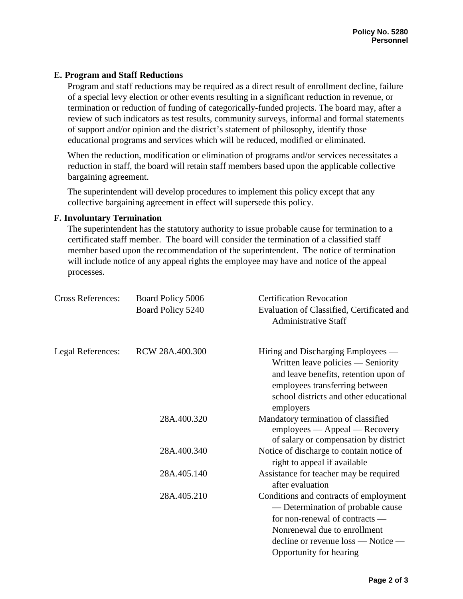# **E. Program and Staff Reductions**

Program and staff reductions may be required as a direct result of enrollment decline, failure of a special levy election or other events resulting in a significant reduction in revenue, or termination or reduction of funding of categorically-funded projects. The board may, after a review of such indicators as test results, community surveys, informal and formal statements of support and/or opinion and the district's statement of philosophy, identify those educational programs and services which will be reduced, modified or eliminated.

When the reduction, modification or elimination of programs and/or services necessitates a reduction in staff, the board will retain staff members based upon the applicable collective bargaining agreement.

The superintendent will develop procedures to implement this policy except that any collective bargaining agreement in effect will supersede this policy.

## **F. Involuntary Termination**

The superintendent has the statutory authority to issue probable cause for termination to a certificated staff member. The board will consider the termination of a classified staff member based upon the recommendation of the superintendent. The notice of termination will include notice of any appeal rights the employee may have and notice of the appeal processes.

| <b>Cross References:</b> | Board Policy 5006<br>Board Policy 5240 | <b>Certification Revocation</b><br>Evaluation of Classified, Certificated and<br><b>Administrative Staff</b>                                                                                                            |
|--------------------------|----------------------------------------|-------------------------------------------------------------------------------------------------------------------------------------------------------------------------------------------------------------------------|
| Legal References:        | RCW 28A.400.300                        | Hiring and Discharging Employees —<br>Written leave policies — Seniority<br>and leave benefits, retention upon of<br>employees transferring between<br>school districts and other educational<br>employers              |
|                          | 28A.400.320                            | Mandatory termination of classified<br>employees — Appeal — Recovery<br>of salary or compensation by district                                                                                                           |
|                          | 28A.400.340                            | Notice of discharge to contain notice of<br>right to appeal if available                                                                                                                                                |
|                          | 28A.405.140                            | Assistance for teacher may be required<br>after evaluation                                                                                                                                                              |
|                          | 28A.405.210                            | Conditions and contracts of employment<br>— Determination of probable cause<br>for non-renewal of contracts —<br>Nonrenewal due to enrollment<br>$\alpha$ decline or revenue loss — Notice —<br>Opportunity for hearing |